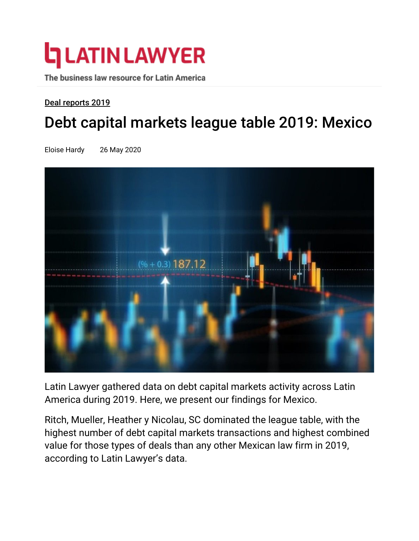# **L** LATIN LAWYER

The business law resource for Latin America

### Deal reports 2019

## Debt capital markets league table 2019: Mexico

Eloise Hardy 26 May 2020



Latin Lawyer gathered data on debt capital markets activity across Latin America during 2019. Here, we present our findings for Mexico.

Ritch, Mueller, Heather y Nicolau, SC dominated the league table, with the highest number of debt capital markets transactions and highest combined value for those types of deals than any other Mexican law firm in 2019, according to Latin Lawyer's data.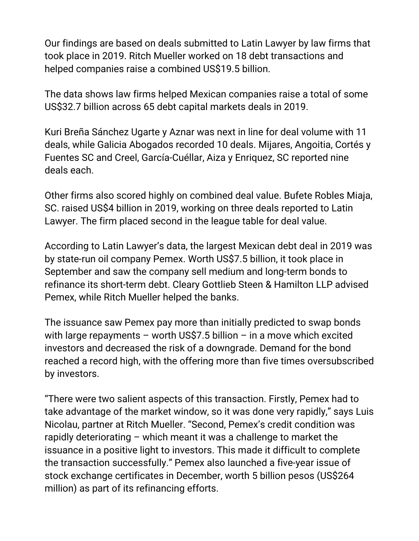Our findings are based on deals submitted to Latin Lawyer by law firms that took place in 2019. Ritch Mueller worked on 18 debt transactions and helped companies raise a combined US\$19.5 billion.

The data shows law firms helped Mexican companies raise a total of some US\$32.7 billion across 65 debt capital markets deals in 2019.

Kuri Breña Sánchez Ugarte y Aznar was next in line for deal volume with 11 deals, while Galicia Abogados recorded 10 deals. Mijares, Angoitia, Cortés y Fuentes SC and Creel, García-Cuéllar, Aiza y Enriquez, SC reported nine deals each.

Other firms also scored highly on combined deal value. Bufete Robles Miaja, SC. raised US\$4 billion in 2019, working on three deals reported to Latin Lawyer. The firm placed second in the league table for deal value.

According to Latin Lawyer's data, the largest Mexican debt deal in 2019 was by state-run oil company Pemex. Worth US\$7.5 billion, it took place in September and saw the company sell medium and long-term bonds to refinance its short-term debt. Cleary Gottlieb Steen & Hamilton LLP advised Pemex, while Ritch Mueller helped the banks.

The issuance saw Pemex pay more than initially predicted to swap bonds with large repayments – worth US\$7.5 billion – in a move which excited investors and decreased the risk of a downgrade. Demand for the bond reached a record high, with the offering more than five times oversubscribed by investors.

"There were two salient aspects of this transaction. Firstly, Pemex had to take advantage of the market window, so it was done very rapidly," says Luis Nicolau, partner at Ritch Mueller. "Second, Pemex's credit condition was rapidly deteriorating – which meant it was a challenge to market the issuance in a positive light to investors. This made it difficult to complete the transaction successfully." Pemex also launched a five-year issue of stock exchange certificates in December, worth 5 billion pesos (US\$264 million) as part of its refinancing efforts.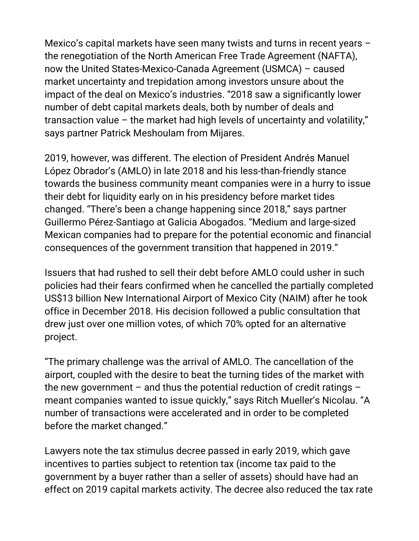Mexico's capital markets have seen many twists and turns in recent years – the renegotiation of the North American Free Trade Agreement (NAFTA), now the United States-Mexico-Canada Agreement (USMCA) – caused market uncertainty and trepidation among investors unsure about the impact of the deal on Mexico's industries. "2018 saw a significantly lower number of debt capital markets deals, both by number of deals and transaction value – the market had high levels of uncertainty and volatility," says partner Patrick Meshoulam from Mijares.

2019, however, was different. The election of President Andrés Manuel López Obrador's (AMLO) in late 2018 and his less-than-friendly stance towards the business community meant companies were in a hurry to issue their debt for liquidity early on in his presidency before market tides changed. "There's been a change happening since 2018," says partner Guillermo Pérez-Santiago at Galicia Abogados. "Medium and large-sized Mexican companies had to prepare for the potential economic and financial consequences of the government transition that happened in 2019."

Issuers that had rushed to sell their debt before AMLO could usher in such policies had their fears confirmed when he cancelled the partially completed US\$13 billion New International Airport of Mexico City (NAIM) after he took office in December 2018. His decision followed a public consultation that drew just over one million votes, of which 70% opted for an alternative project.

"The primary challenge was the arrival of AMLO. The cancellation of the airport, coupled with the desire to beat the turning tides of the market with the new government  $-$  and thus the potential reduction of credit ratings  $$ meant companies wanted to issue quickly," says Ritch Mueller's Nicolau. "A number of transactions were accelerated and in order to be completed before the market changed."

Lawyers note the tax stimulus decree passed in early 2019, which gave incentives to parties subject to retention tax (income tax paid to the government by a buyer rather than a seller of assets) should have had an effect on 2019 capital markets activity. The decree also reduced the tax rate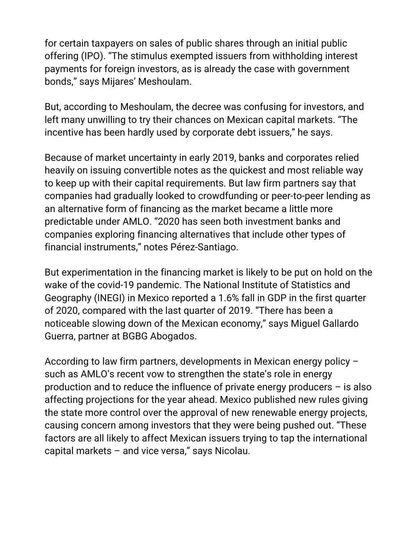for certain taxpayers on sales of public shares through an initial public offering (IPO). "The stimulus exempted issuers from withholding interest payments for foreign investors, as is already the case with government bonds," says Mijares' Meshoulam.

But, according to Meshoulam, the decree was confusing for investors, and left many unwilling to try their chances on Mexican capital markets. "The incentive has been hardly used by corporate debt issuers," he says.

Because of market uncertainty in early 2019, banks and corporates relied heavily on issuing convertible notes as the quickest and most reliable way to keep up with their capital requirements. But law firm partners say that companies had gradually looked to crowdfunding or peer-to-peer lending as an alternative form of financing as the market became a little more predictable under AMLO. "2020 has seen both investment banks and companies exploring financing alternatives that include other types of financial instruments," notes Pérez-Santiago.

But experimentation in the financing market is likely to be put on hold on the wake of the covid-19 pandemic. The National Institute of Statistics and Geography (INEGI) in Mexico reported a 1.6% fall in GDP in the first quarter of 2020, compared with the last quarter of 2019. "There has been a noticeable slowing down of the Mexican economy," says Miguel Gallardo Guerra, partner at BGBG Abogados.

According to law firm partners, developments in Mexican energy policy – such as AMLO's recent vow to strengthen the state's role in energy production and to reduce the influence of private energy producers – is also affecting projections for the year ahead. Mexico published new rules giving the state more control over the approval of new renewable energy projects, causing concern among investors that they were being pushed out. "These factors are all likely to affect Mexican issuers trying to tap the international capital markets  $-$  and vice versa," says Nicolau.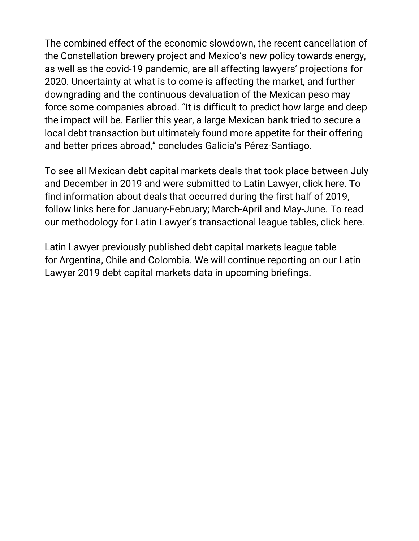The combined effect of the economic slowdown, the recent cancellation of the Constellation brewery project and Mexico's new policy towards energy, as well as the covid-19 pandemic, are all affecting lawyers' projections for 2020. Uncertainty at what is to come is affecting the market, and further downgrading and the continuous devaluation of the Mexican peso may force some companies abroad. "It is difficult to predict how large and deep the impact will be. Earlier this year, a large Mexican bank tried to secure a local debt transaction but ultimately found more appetite for their offering and better prices abroad," concludes Galicia's Pérez-Santiago.

To see all Mexican debt capital markets deals that took place between July and December in 2019 and were submitted to Latin Lawyer, click here. To find information about deals that occurred during the first half of 2019, follow links here for January-February; March-April and May-June. To read our methodology for Latin Lawyer's transactional league tables, click here.

Latin Lawyer previously published debt capital markets league table for Argentina, Chile and Colombia. We will continue reporting on our Latin Lawyer 2019 debt capital markets data in upcoming briefings.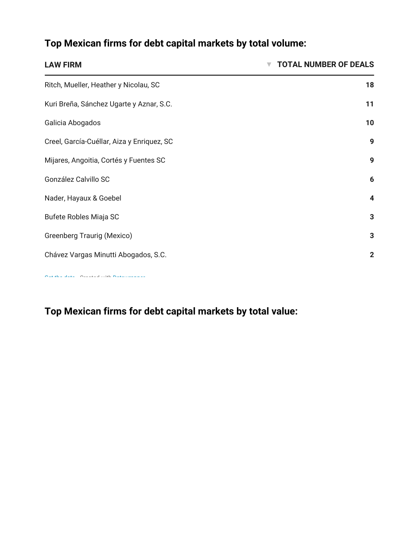### Top Mexican firms for debt capital markets by total volume:

| <b>LAW FIRM</b>                            | <b>TOTAL NUMBER OF DEALS</b> |
|--------------------------------------------|------------------------------|
| Ritch, Mueller, Heather y Nicolau, SC      | 18                           |
| Kuri Breña, Sánchez Ugarte y Aznar, S.C.   | 11                           |
| Galicia Abogados                           | 10                           |
| Creel, García-Cuéllar, Aiza y Enriquez, SC | 9                            |
| Mijares, Angoitia, Cortés y Fuentes SC     | 9                            |
| González Calvillo SC                       | 6                            |
| Nader, Hayaux & Goebel                     | 4                            |
| Bufete Robles Miaja SC                     | 3                            |
| <b>Greenberg Traurig (Mexico)</b>          | 3                            |
| Chávez Vargas Minutti Abogados, S.C.       | $\overline{2}$               |
|                                            |                              |

Top Mexican firms for debt capital markets by total value: